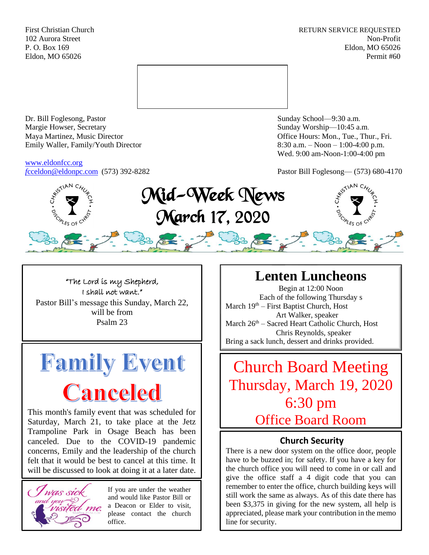First Christian Church **RETURN SERVICE REQUESTED** 102 Aurora Street Non-Profit P. O. Box 169 Eldon, MO 65026 Eldon, MO 65026 Permit #60



Dr. Bill Foglesong, Pastor Sunday School—9:30 a.m. Margie Howser, Secretary Sunday Worship—10:45 a.m. Maya Martinez, Music Director Office Hours: Mon., Tue., Thur., Fri. Emily Waller, Family/Youth Director 8:30 a.m. – Noon – 1:00-4:00 p.m.

[www.eldonfcc.org](http://www.eldonfcc.org/)

Wed. 9:00 am-Noon-1:00-4:00 pm

*f*[cceldon@eldonpc.com](mailto:fcceldon@eldonpc.com) (573) 392-8282 Pastor Bill Foglesong— (573) 680-4170



"The Lord is my Shepherd, I shall not want." Pastor Bill's message this Sunday, March 22, will be from Psalm 23



This month's family event that was scheduled for Saturday, March 21, to take place at the Jetz Trampoline Park in Osage Beach has been canceled. Due to the COVID-19 pandemic concerns, Emily and the leadership of the church felt that it would be best to cancel at this time. It will be discussed to look at doing it at a later date.



If you are under the weather and would like Pastor Bill or a Deacon or Elder to visit, please contact the church office.

# **Lenten Luncheons**

Begin at 12:00 Noon Each of the following Thursday s March 19<sup>th</sup> – First Baptist Church, Host Art Walker, speaker March 26<sup>th</sup> – Sacred Heart Catholic Church, Host Chris Reynolds, speaker Bring a sack lunch, dessert and drinks provided.

Church Board Meeting Thursday, March 19, 2020 6:30 pm Office Board Room

### **Church Security**

There is a new door system on the office door, people have to be buzzed in; for safety. If you have a key for the church office you will need to come in or call and give the office staff a 4 digit code that you can remember to enter the office, church building keys will still work the same as always. As of this date there has been \$3,375 in giving for the new system, all help is appreciated, please mark your contribution in the memo line for security.